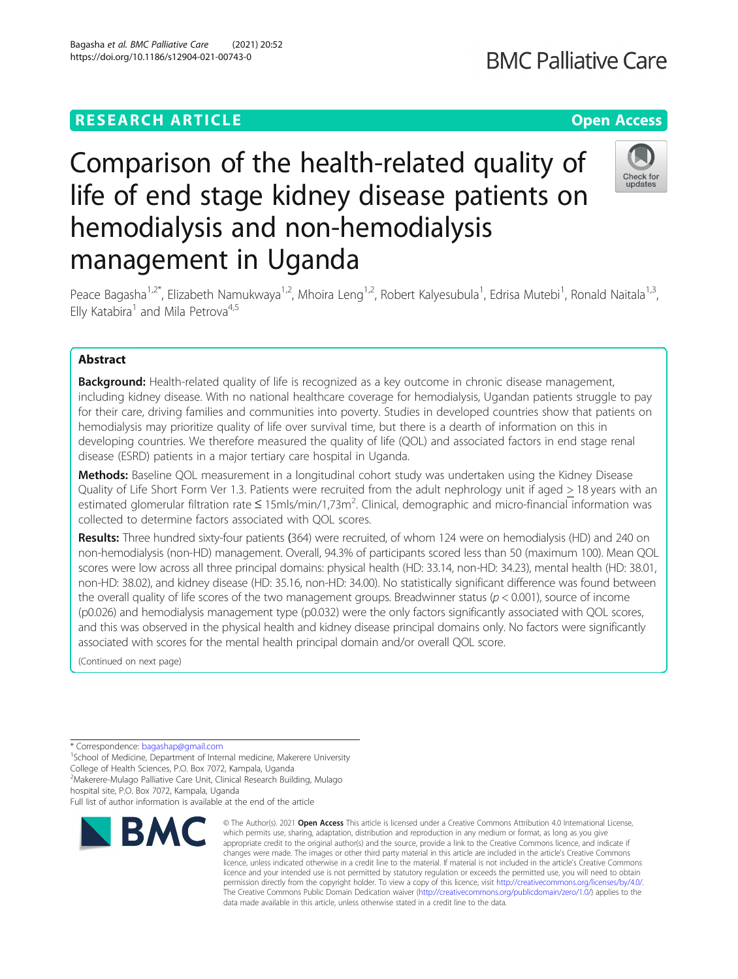## **RESEARCH ARTICLE Example 2014 12:30 The Contract of Contract ACCESS**

# Comparison of the health-related quality of life of end stage kidney disease patients on hemodialysis and non-hemodialysis management in Uganda

Peace Bagasha<sup>1,2\*</sup>, Elizabeth Namukwaya<sup>1,2</sup>, Mhoira Leng<sup>1,2</sup>, Robert Kalyesubula<sup>1</sup>, Edrisa Mutebi<sup>1</sup>, Ronald Naitala<sup>1,3</sup>, Elly Katabira<sup>1</sup> and Mila Petrova<sup>4,5</sup>

### Abstract

**Background:** Health-related quality of life is recognized as a key outcome in chronic disease management, including kidney disease. With no national healthcare coverage for hemodialysis, Ugandan patients struggle to pay for their care, driving families and communities into poverty. Studies in developed countries show that patients on hemodialysis may prioritize quality of life over survival time, but there is a dearth of information on this in developing countries. We therefore measured the quality of life (QOL) and associated factors in end stage renal disease (ESRD) patients in a major tertiary care hospital in Uganda.

Methods: Baseline QOL measurement in a longitudinal cohort study was undertaken using the Kidney Disease Quality of Life Short Form Ver 1.3. Patients were recruited from the adult nephrology unit if aged > 18 years with an estimated glomerular filtration rate ≤ 15mls/min/1,73m<sup>2</sup>. Clinical, demographic and micro-financial information was collected to determine factors associated with QOL scores.

Results: Three hundred sixty-four patients (364) were recruited, of whom 124 were on hemodialysis (HD) and 240 on non-hemodialysis (non-HD) management. Overall, 94.3% of participants scored less than 50 (maximum 100). Mean QOL scores were low across all three principal domains: physical health (HD: 33.14, non-HD: 34.23), mental health (HD: 38.01, non-HD: 38.02), and kidney disease (HD: 35.16, non-HD: 34.00). No statistically significant difference was found between the overall quality of life scores of the two management groups. Breadwinner status ( $p < 0.001$ ), source of income (p0.026) and hemodialysis management type (p0.032) were the only factors significantly associated with QOL scores, and this was observed in the physical health and kidney disease principal domains only. No factors were significantly associated with scores for the mental health principal domain and/or overall QOL score.

(Continued on next page)

\* Correspondence: [bagashap@gmail.com](mailto:bagashap@gmail.com) <sup>1</sup>

<sup>1</sup>School of Medicine, Department of Internal medicine, Makerere University College of Health Sciences, P.O. Box 7072, Kampala, Uganda

<sup>2</sup>Makerere-Mulago Palliative Care Unit, Clinical Research Building, Mulago

hospital site, P.O. Box 7072, Kampala, Uganda

#### Bagasha et al. BMC Palliative Care (2021) 20:52 https://doi.org/10.1186/s12904-021-00743-0

**BMC** 



<sup>©</sup> The Author(s), 2021 **Open Access** This article is licensed under a Creative Commons Attribution 4.0 International License, which permits use, sharing, adaptation, distribution and reproduction in any medium or format, as long as you give appropriate credit to the original author(s) and the source, provide a link to the Creative Commons licence, and indicate if changes were made. The images or other third party material in this article are included in the article's Creative Commons licence, unless indicated otherwise in a credit line to the material. If material is not included in the article's Creative Commons licence and your intended use is not permitted by statutory regulation or exceeds the permitted use, you will need to obtain permission directly from the copyright holder. To view a copy of this licence, visit [http://creativecommons.org/licenses/by/4.0/.](http://creativecommons.org/licenses/by/4.0/) The Creative Commons Public Domain Dedication waiver [\(http://creativecommons.org/publicdomain/zero/1.0/](http://creativecommons.org/publicdomain/zero/1.0/)) applies to the data made available in this article, unless otherwise stated in a credit line to the data.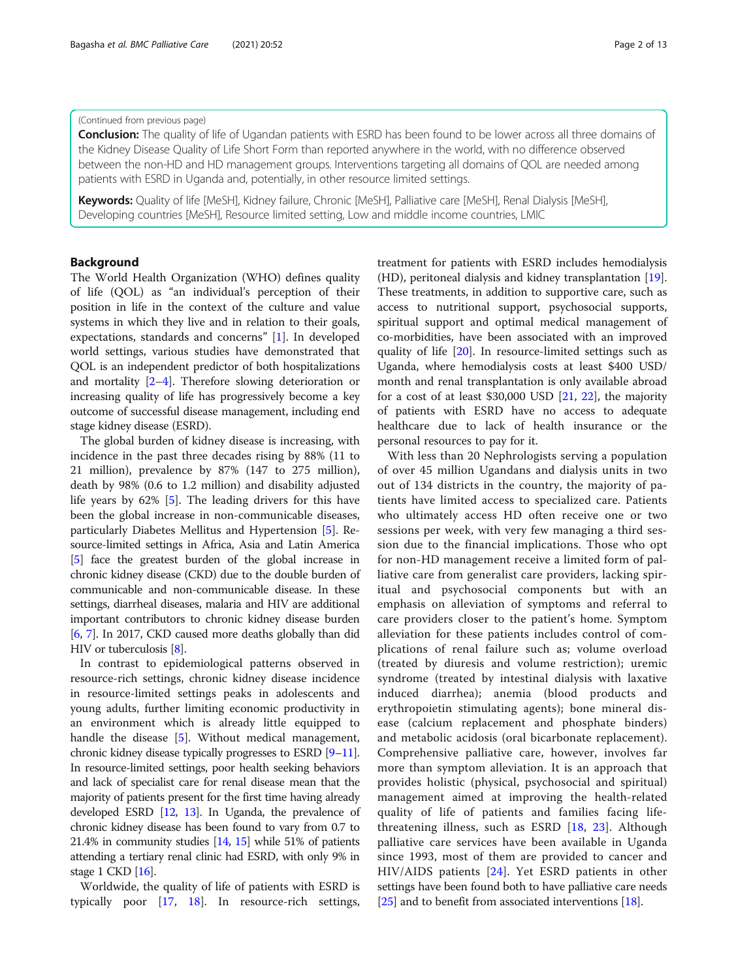#### (Continued from previous page)

**Conclusion:** The quality of life of Ugandan patients with ESRD has been found to be lower across all three domains of the Kidney Disease Quality of Life Short Form than reported anywhere in the world, with no difference observed between the non-HD and HD management groups. Interventions targeting all domains of QOL are needed among patients with ESRD in Uganda and, potentially, in other resource limited settings.

Keywords: Quality of life [MeSH], Kidney failure, Chronic [MeSH], Palliative care [MeSH], Renal Dialysis [MeSH], Developing countries [MeSH], Resource limited setting, Low and middle income countries, LMIC

#### Background

The World Health Organization (WHO) defines quality of life (QOL) as "an individual's perception of their position in life in the context of the culture and value systems in which they live and in relation to their goals, expectations, standards and concerns" [[1\]](#page-10-0). In developed world settings, various studies have demonstrated that QOL is an independent predictor of both hospitalizations and mortality [\[2](#page-10-0)–[4\]](#page-10-0). Therefore slowing deterioration or increasing quality of life has progressively become a key outcome of successful disease management, including end stage kidney disease (ESRD).

The global burden of kidney disease is increasing, with incidence in the past three decades rising by 88% (11 to 21 million), prevalence by 87% (147 to 275 million), death by 98% (0.6 to 1.2 million) and disability adjusted life years by 62% [\[5](#page-10-0)]. The leading drivers for this have been the global increase in non-communicable diseases, particularly Diabetes Mellitus and Hypertension [[5\]](#page-10-0). Resource-limited settings in Africa, Asia and Latin America [[5](#page-10-0)] face the greatest burden of the global increase in chronic kidney disease (CKD) due to the double burden of communicable and non-communicable disease. In these settings, diarrheal diseases, malaria and HIV are additional important contributors to chronic kidney disease burden [[6](#page-10-0), [7](#page-10-0)]. In 2017, CKD caused more deaths globally than did HIV or tuberculosis [[8](#page-10-0)].

In contrast to epidemiological patterns observed in resource-rich settings, chronic kidney disease incidence in resource-limited settings peaks in adolescents and young adults, further limiting economic productivity in an environment which is already little equipped to handle the disease [[5\]](#page-10-0). Without medical management, chronic kidney disease typically progresses to ESRD [\[9](#page-11-0)–[11](#page-11-0)]. In resource-limited settings, poor health seeking behaviors and lack of specialist care for renal disease mean that the majority of patients present for the first time having already developed ESRD [\[12,](#page-11-0) [13](#page-11-0)]. In Uganda, the prevalence of chronic kidney disease has been found to vary from 0.7 to 21.4% in community studies [\[14,](#page-11-0) [15](#page-11-0)] while 51% of patients attending a tertiary renal clinic had ESRD, with only 9% in stage 1 CKD [[16](#page-11-0)].

Worldwide, the quality of life of patients with ESRD is typically poor [[17,](#page-11-0) [18\]](#page-11-0). In resource-rich settings,

treatment for patients with ESRD includes hemodialysis (HD), peritoneal dialysis and kidney transplantation [\[19](#page-11-0)]. These treatments, in addition to supportive care, such as access to nutritional support, psychosocial supports, spiritual support and optimal medical management of co-morbidities, have been associated with an improved quality of life [[20](#page-11-0)]. In resource-limited settings such as Uganda, where hemodialysis costs at least \$400 USD/ month and renal transplantation is only available abroad for a cost of at least \$30,000 USD [[21,](#page-11-0) [22](#page-11-0)], the majority of patients with ESRD have no access to adequate healthcare due to lack of health insurance or the personal resources to pay for it.

With less than 20 Nephrologists serving a population of over 45 million Ugandans and dialysis units in two out of 134 districts in the country, the majority of patients have limited access to specialized care. Patients who ultimately access HD often receive one or two sessions per week, with very few managing a third session due to the financial implications. Those who opt for non-HD management receive a limited form of palliative care from generalist care providers, lacking spiritual and psychosocial components but with an emphasis on alleviation of symptoms and referral to care providers closer to the patient's home. Symptom alleviation for these patients includes control of complications of renal failure such as; volume overload (treated by diuresis and volume restriction); uremic syndrome (treated by intestinal dialysis with laxative induced diarrhea); anemia (blood products and erythropoietin stimulating agents); bone mineral disease (calcium replacement and phosphate binders) and metabolic acidosis (oral bicarbonate replacement). Comprehensive palliative care, however, involves far more than symptom alleviation. It is an approach that provides holistic (physical, psychosocial and spiritual) management aimed at improving the health-related quality of life of patients and families facing lifethreatening illness, such as ESRD [\[18](#page-11-0), [23\]](#page-11-0). Although palliative care services have been available in Uganda since 1993, most of them are provided to cancer and HIV/AIDS patients [[24](#page-11-0)]. Yet ESRD patients in other settings have been found both to have palliative care needs [[25](#page-11-0)] and to benefit from associated interventions [\[18](#page-11-0)].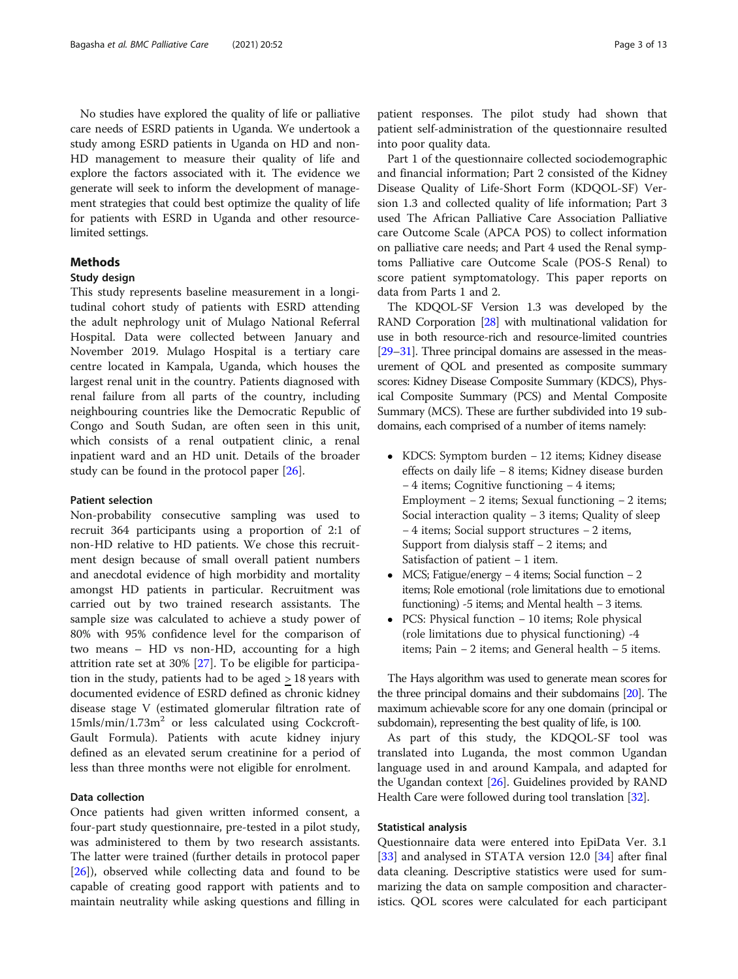No studies have explored the quality of life or palliative care needs of ESRD patients in Uganda. We undertook a study among ESRD patients in Uganda on HD and non-HD management to measure their quality of life and explore the factors associated with it. The evidence we generate will seek to inform the development of management strategies that could best optimize the quality of life for patients with ESRD in Uganda and other resourcelimited settings.

#### Methods

#### Study design

This study represents baseline measurement in a longitudinal cohort study of patients with ESRD attending the adult nephrology unit of Mulago National Referral Hospital. Data were collected between January and November 2019. Mulago Hospital is a tertiary care centre located in Kampala, Uganda, which houses the largest renal unit in the country. Patients diagnosed with renal failure from all parts of the country, including neighbouring countries like the Democratic Republic of Congo and South Sudan, are often seen in this unit, which consists of a renal outpatient clinic, a renal inpatient ward and an HD unit. Details of the broader study can be found in the protocol paper [\[26\]](#page-11-0).

#### Patient selection

Non-probability consecutive sampling was used to recruit 364 participants using a proportion of 2:1 of non-HD relative to HD patients. We chose this recruitment design because of small overall patient numbers and anecdotal evidence of high morbidity and mortality amongst HD patients in particular. Recruitment was carried out by two trained research assistants. The sample size was calculated to achieve a study power of 80% with 95% confidence level for the comparison of two means – HD vs non-HD, accounting for a high attrition rate set at 30% [\[27](#page-11-0)]. To be eligible for participation in the study, patients had to be aged > 18 years with documented evidence of ESRD defined as chronic kidney disease stage V (estimated glomerular filtration rate of 15mls/min/1.73m2 or less calculated using Cockcroft-Gault Formula). Patients with acute kidney injury defined as an elevated serum creatinine for a period of less than three months were not eligible for enrolment.

#### Data collection

Once patients had given written informed consent, a four-part study questionnaire, pre-tested in a pilot study, was administered to them by two research assistants. The latter were trained (further details in protocol paper [[26\]](#page-11-0)), observed while collecting data and found to be capable of creating good rapport with patients and to maintain neutrality while asking questions and filling in

patient responses. The pilot study had shown that patient self-administration of the questionnaire resulted into poor quality data.

Part 1 of the questionnaire collected sociodemographic and financial information; Part 2 consisted of the Kidney Disease Quality of Life-Short Form (KDQOL-SF) Version 1.3 and collected quality of life information; Part 3 used The African Palliative Care Association Palliative care Outcome Scale (APCA POS) to collect information on palliative care needs; and Part 4 used the Renal symptoms Palliative care Outcome Scale (POS-S Renal) to score patient symptomatology. This paper reports on data from Parts 1 and 2.

The KDQOL-SF Version 1.3 was developed by the RAND Corporation [\[28](#page-11-0)] with multinational validation for use in both resource-rich and resource-limited countries [[29](#page-11-0)–[31](#page-11-0)]. Three principal domains are assessed in the measurement of QOL and presented as composite summary scores: Kidney Disease Composite Summary (KDCS), Physical Composite Summary (PCS) and Mental Composite Summary (MCS). These are further subdivided into 19 subdomains, each comprised of a number of items namely:

- KDCS: Symptom burden − 12 items; Kidney disease effects on daily life − 8 items; Kidney disease burden − 4 items; Cognitive functioning − 4 items; Employment − 2 items; Sexual functioning − 2 items; Social interaction quality − 3 items; Quality of sleep − 4 items; Social support structures − 2 items, Support from dialysis staff − 2 items; and Satisfaction of patient − 1 item.
- MCS; Fatigue/energy − 4 items; Social function − 2 items; Role emotional (role limitations due to emotional functioning) -5 items; and Mental health − 3 items.
- PCS: Physical function − 10 items; Role physical (role limitations due to physical functioning) -4 items; Pain − 2 items; and General health − 5 items.

The Hays algorithm was used to generate mean scores for the three principal domains and their subdomains [[20\]](#page-11-0). The maximum achievable score for any one domain (principal or subdomain), representing the best quality of life, is 100.

As part of this study, the KDQOL-SF tool was translated into Luganda, the most common Ugandan language used in and around Kampala, and adapted for the Ugandan context [\[26\]](#page-11-0). Guidelines provided by RAND Health Care were followed during tool translation [\[32](#page-11-0)].

#### Statistical analysis

Questionnaire data were entered into EpiData Ver. 3.1 [[33\]](#page-11-0) and analysed in STATA version 12.0 [[34\]](#page-11-0) after final data cleaning. Descriptive statistics were used for summarizing the data on sample composition and characteristics. QOL scores were calculated for each participant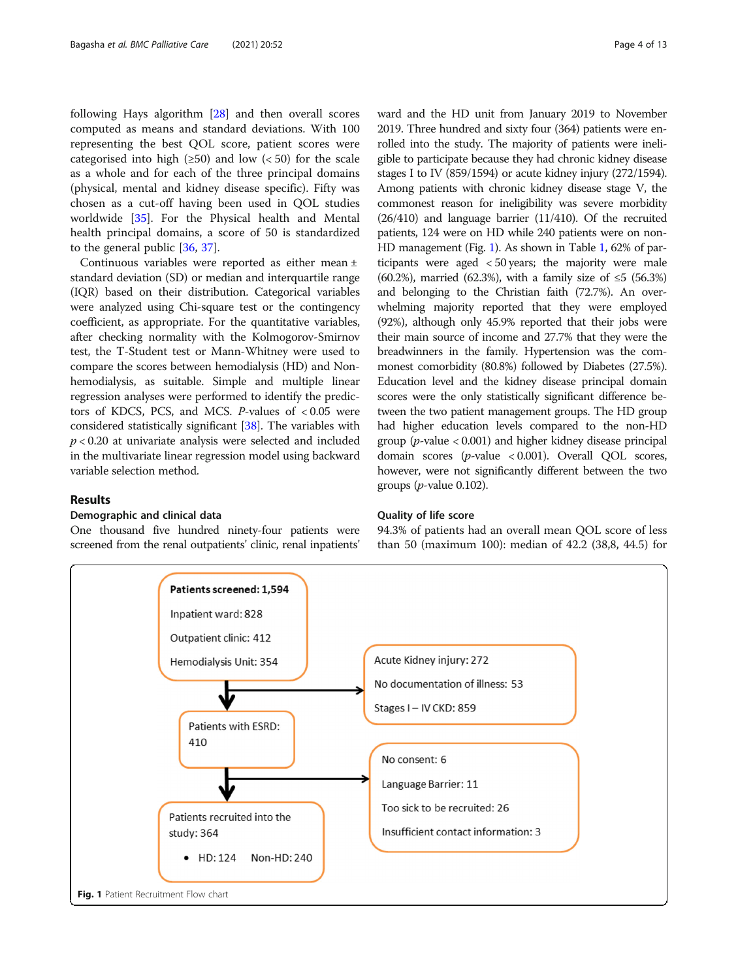following Hays algorithm [\[28\]](#page-11-0) and then overall scores computed as means and standard deviations. With 100 representing the best QOL score, patient scores were categorised into high ( $\geq 50$ ) and low ( $\lt 50$ ) for the scale as a whole and for each of the three principal domains (physical, mental and kidney disease specific). Fifty was chosen as a cut-off having been used in QOL studies worldwide [[35](#page-11-0)]. For the Physical health and Mental health principal domains, a score of 50 is standardized to the general public [[36](#page-11-0), [37](#page-11-0)].

Continuous variables were reported as either mean ± standard deviation (SD) or median and interquartile range (IQR) based on their distribution. Categorical variables were analyzed using Chi-square test or the contingency coefficient, as appropriate. For the quantitative variables, after checking normality with the Kolmogorov-Smirnov test, the T-Student test or Mann-Whitney were used to compare the scores between hemodialysis (HD) and Nonhemodialysis, as suitable. Simple and multiple linear regression analyses were performed to identify the predictors of KDCS, PCS, and MCS.  $P$ -values of <0.05 were considered statistically significant [[38](#page-11-0)]. The variables with  $p < 0.20$  at univariate analysis were selected and included in the multivariate linear regression model using backward variable selection method.

#### Results

#### Demographic and clinical data

One thousand five hundred ninety-four patients were screened from the renal outpatients' clinic, renal inpatients'

ward and the HD unit from January 2019 to November 2019. Three hundred and sixty four (364) patients were enrolled into the study. The majority of patients were ineligible to participate because they had chronic kidney disease stages I to IV (859/1594) or acute kidney injury (272/1594). Among patients with chronic kidney disease stage V, the commonest reason for ineligibility was severe morbidity (26/410) and language barrier (11/410). Of the recruited patients, 124 were on HD while 240 patients were on non-HD management (Fig. 1). As shown in Table [1](#page-4-0), 62% of participants were aged < 50 years; the majority were male (60.2%), married (62.3%), with a family size of ≤5 (56.3%) and belonging to the Christian faith (72.7%). An overwhelming majority reported that they were employed (92%), although only 45.9% reported that their jobs were their main source of income and 27.7% that they were the breadwinners in the family. Hypertension was the commonest comorbidity (80.8%) followed by Diabetes (27.5%). Education level and the kidney disease principal domain scores were the only statistically significant difference between the two patient management groups. The HD group had higher education levels compared to the non-HD group ( $p$ -value < 0.001) and higher kidney disease principal domain scores (p-value < 0.001). Overall QOL scores, however, were not significantly different between the two groups ( $p$ -value 0.102).

#### Quality of life score

94.3% of patients had an overall mean QOL score of less than 50 (maximum 100): median of 42.2 (38,8, 44.5) for

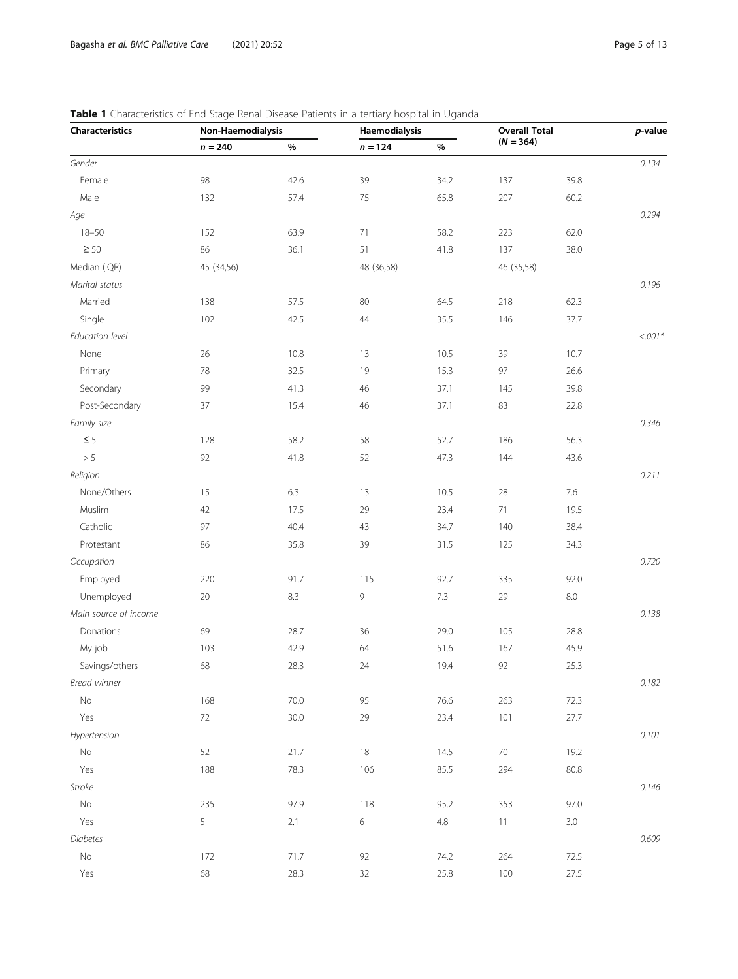| Characteristics       | Non-Haemodialysis |      | Haemodialysis    |         |             | <b>Overall Total</b> |           |
|-----------------------|-------------------|------|------------------|---------|-------------|----------------------|-----------|
|                       | $n = 240$         | $\%$ | $\sqrt{n} = 124$ | $\%$    | $(N = 364)$ |                      |           |
| Gender                |                   |      |                  |         |             |                      | 0.134     |
| Female                | 98                | 42.6 | 39               | 34.2    | 137         | 39.8                 |           |
| Male                  | 132               | 57.4 | 75               | 65.8    | 207         | 60.2                 |           |
| Age                   |                   |      |                  |         |             |                      | 0.294     |
| $18 - 50$             | 152               | 63.9 | 71               | 58.2    | 223         | 62.0                 |           |
| $\geq 50$             | 86                | 36.1 | 51               | 41.8    | 137         | 38.0                 |           |
| Median (IQR)          | 45 (34,56)        |      | 48 (36,58)       |         | 46 (35,58)  |                      |           |
| Marital status        |                   |      |                  |         |             |                      | 0.196     |
| Married               | 138               | 57.5 | 80               | 64.5    | 218         | 62.3                 |           |
| Single                | 102               | 42.5 | 44               | 35.5    | 146         | 37.7                 |           |
| Education level       |                   |      |                  |         |             |                      | $< .001*$ |
| None                  | 26                | 10.8 | 13               | 10.5    | 39          | 10.7                 |           |
| Primary               | 78                | 32.5 | 19               | 15.3    | 97          | 26.6                 |           |
| Secondary             | 99                | 41.3 | 46               | 37.1    | 145         | 39.8                 |           |
| Post-Secondary        | 37                | 15.4 | 46               | 37.1    | 83          | 22.8                 |           |
| Family size           |                   |      |                  |         |             |                      | 0.346     |
| $\leq 5$              | 128               | 58.2 | 58               | 52.7    | 186         | 56.3                 |           |
| > 5                   | 92                | 41.8 | 52               | 47.3    | 144         | 43.6                 |           |
| Religion              |                   |      |                  |         |             |                      | 0.211     |
| None/Others           | 15                | 6.3  | 13               | 10.5    | 28          | $7.6\,$              |           |
| Muslim                | 42                | 17.5 | 29               | 23.4    | 71          | 19.5                 |           |
| Catholic              | 97                | 40.4 | 43               | 34.7    | 140         | 38.4                 |           |
| Protestant            | 86                | 35.8 | 39               | 31.5    | 125         | 34.3                 |           |
| Occupation            |                   |      |                  |         |             |                      | 0.720     |
| Employed              | 220               | 91.7 | 115              | 92.7    | 335         | 92.0                 |           |
| Unemployed            | 20                | 8.3  | 9                | $7.3\,$ | 29          | $8.0\,$              |           |
| Main source of income |                   |      |                  |         |             |                      | 0.138     |
| Donations             | 69                | 28.7 | 36               | 29.0    | 105         | 28.8                 |           |
| My job                | 103               | 42.9 | 64               | 51.6    | 167         | 45.9                 |           |
| Savings/others        | 68                | 28.3 | 24               | 19.4    | 92          | 25.3                 |           |
| Bread winner          |                   |      |                  |         |             |                      | 0.182     |
| No                    | 168               | 70.0 | 95               | 76.6    | 263         | 72.3                 |           |
| Yes                   | $72\,$            | 30.0 | 29               | 23.4    | 101         | 27.7                 |           |
| Hypertension          |                   |      |                  |         |             |                      | 0.101     |
| $\mathsf{No}$         | 52                | 21.7 | $18\,$           | 14.5    | $70\,$      | 19.2                 |           |
| Yes                   | 188               | 78.3 | 106              | 85.5    | 294         | 80.8                 |           |
| Stroke                |                   |      |                  |         |             |                      | 0.146     |
| No                    | 235               | 97.9 | 118              | 95.2    | 353         | 97.0                 |           |
| Yes                   | 5                 | 2.1  | $\,$ 6 $\,$      | $4.8\,$ | 11          | $3.0\,$              |           |
| Diabetes              |                   |      |                  |         |             |                      | 0.609     |
| $\mathsf{No}$         | 172               | 71.7 | 92               | 74.2    | 264         | 72.5                 |           |
| Yes                   | 68                | 28.3 | 32               | 25.8    | 100         | 27.5                 |           |

#### <span id="page-4-0"></span>Table 1 Characteristics of End Stage Renal Disease Patients in a tertiary hospital in Uganda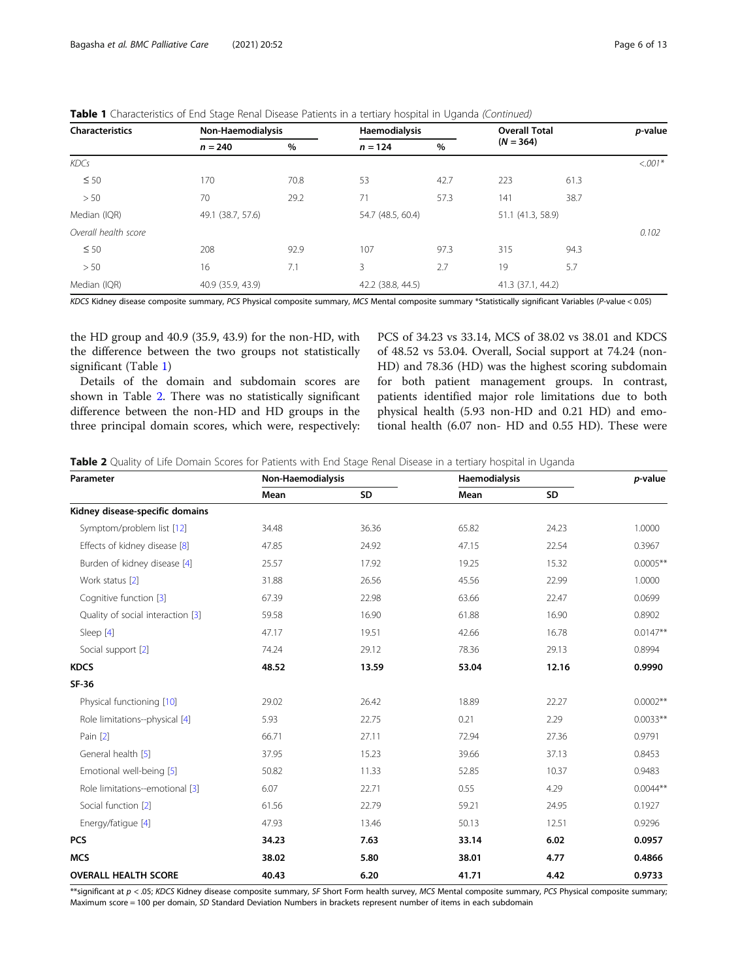<span id="page-5-0"></span>Table 1 Characteristics of End Stage Renal Disease Patients in a tertiary hospital in Uganda (Continued)

| <b>Characteristics</b> | Non-Haemodialysis |      | Haemodialysis     |      | <b>Overall Total</b> |      | p-value  |
|------------------------|-------------------|------|-------------------|------|----------------------|------|----------|
|                        | $n = 240$         | %    | $n = 124$         | %    | $(N = 364)$          |      |          |
| KDCs                   |                   |      |                   |      |                      |      | $<.001*$ |
| $\leq 50$              | 170               | 70.8 | 53                | 42.7 | 223                  | 61.3 |          |
| > 50                   | 70                | 29.2 | 71                | 57.3 | 141                  | 38.7 |          |
| Median (IQR)           | 49.1 (38.7, 57.6) |      | 54.7 (48.5, 60.4) |      | 51.1 (41.3, 58.9)    |      |          |
| Overall health score   |                   |      |                   |      |                      |      | 0.102    |
| $\leq 50$              | 208               | 92.9 | 107               | 97.3 | 315                  | 94.3 |          |
| > 50                   | 16                | 7.1  | 3                 | 2.7  | 19                   | 5.7  |          |
| Median (IQR)           | 40.9 (35.9, 43.9) |      | 42.2 (38.8, 44.5) |      | 41.3 (37.1, 44.2)    |      |          |

KDCS Kidney disease composite summary, PCS Physical composite summary, MCS Mental composite summary \*Statistically significant Variables (P-value < 0.05)

the HD group and 40.9 (35.9, 43.9) for the non-HD, with the difference between the two groups not statistically significant (Table [1](#page-4-0))

Details of the domain and subdomain scores are shown in Table 2. There was no statistically significant difference between the non-HD and HD groups in the three principal domain scores, which were, respectively: PCS of 34.23 vs 33.14, MCS of 38.02 vs 38.01 and KDCS of 48.52 vs 53.04. Overall, Social support at 74.24 (non-HD) and 78.36 (HD) was the highest scoring subdomain for both patient management groups. In contrast, patients identified major role limitations due to both physical health (5.93 non-HD and 0.21 HD) and emotional health (6.07 non- HD and 0.55 HD). These were

Table 2 Quality of Life Domain Scores for Patients with End Stage Renal Disease in a tertiary hospital in Uganda

| Parameter                         | Non-Haemodialysis |       | Haemodialysis | p-value |            |
|-----------------------------------|-------------------|-------|---------------|---------|------------|
|                                   | Mean              | SD    | Mean          | SD      |            |
| Kidney disease-specific domains   |                   |       |               |         |            |
| Symptom/problem list [12]         | 34.48             | 36.36 | 65.82         | 24.23   | 1.0000     |
| Effects of kidney disease [8]     | 47.85             | 24.92 | 47.15         | 22.54   | 0.3967     |
| Burden of kidney disease [4]      | 25.57             | 17.92 | 19.25         | 15.32   | $0.0005**$ |
| Work status [2]                   | 31.88             | 26.56 | 45.56         | 22.99   | 1.0000     |
| Cognitive function [3]            | 67.39             | 22.98 | 63.66         | 22.47   | 0.0699     |
| Quality of social interaction [3] | 59.58             | 16.90 | 61.88         | 16.90   | 0.8902     |
| Sleep [4]                         | 47.17             | 19.51 | 42.66         | 16.78   | $0.0147**$ |
| Social support [2]                | 74.24             | 29.12 | 78.36         | 29.13   | 0.8994     |
| <b>KDCS</b>                       | 48.52             | 13.59 | 53.04         | 12.16   | 0.9990     |
| <b>SF-36</b>                      |                   |       |               |         |            |
| Physical functioning [10]         | 29.02             | 26.42 | 18.89         | 22.27   | $0.0002**$ |
| Role limitations--physical [4]    | 5.93              | 22.75 | 0.21          | 2.29    | $0.0033**$ |
| Pain [2]                          | 66.71             | 27.11 | 72.94         | 27.36   | 0.9791     |
| General health [5]                | 37.95             | 15.23 | 39.66         | 37.13   | 0.8453     |
| Emotional well-being [5]          | 50.82             | 11.33 | 52.85         | 10.37   | 0.9483     |
| Role limitations--emotional [3]   | 6.07              | 22.71 | 0.55          | 4.29    | $0.0044**$ |
| Social function [2]               | 61.56             | 22.79 | 59.21         | 24.95   | 0.1927     |
| Energy/fatigue [4]                | 47.93             | 13.46 | 50.13         | 12.51   | 0.9296     |
| <b>PCS</b>                        | 34.23             | 7.63  | 33.14         | 6.02    | 0.0957     |
| <b>MCS</b>                        | 38.02             | 5.80  | 38.01         | 4.77    | 0.4866     |
| <b>OVERALL HEALTH SCORE</b>       | 40.43             | 6.20  | 41.71         | 4.42    | 0.9733     |

\*\*significant at  $p < 0.05$ ; KDCS Kidney disease composite summary, SF Short Form health survey, MCS Mental composite summary, PCS Physical composite summary; Maximum score = 100 per domain, SD Standard Deviation Numbers in brackets represent number of items in each subdomain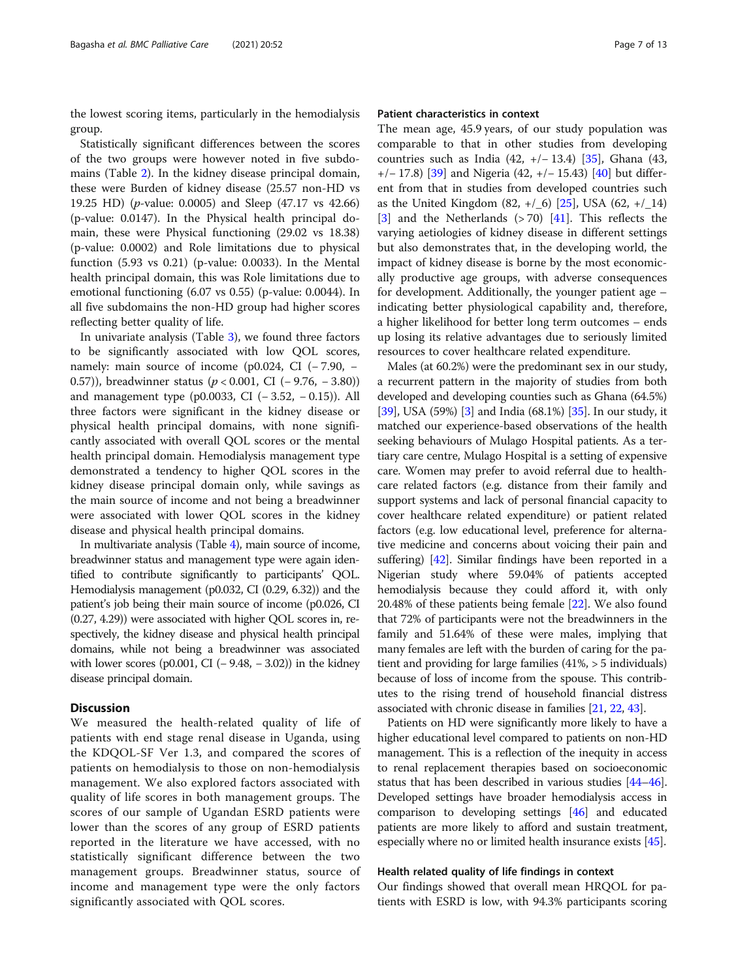the lowest scoring items, particularly in the hemodialysis group.

Statistically significant differences between the scores of the two groups were however noted in five subdomains (Table [2\)](#page-5-0). In the kidney disease principal domain, these were Burden of kidney disease (25.57 non-HD vs 19.25 HD) (p-value: 0.0005) and Sleep (47.17 vs 42.66) (p-value: 0.0147). In the Physical health principal domain, these were Physical functioning (29.02 vs 18.38) (p-value: 0.0002) and Role limitations due to physical function (5.93 vs 0.21) (p-value: 0.0033). In the Mental health principal domain, this was Role limitations due to emotional functioning (6.07 vs 0.55) (p-value: 0.0044). In all five subdomains the non-HD group had higher scores reflecting better quality of life.

In univariate analysis (Table [3\)](#page-7-0), we found three factors to be significantly associated with low QOL scores, namely: main source of income (p0.024, CI ( $-7.90$ ,  $-$ 0.57)), breadwinner status (p < 0.001, CI (− 9.76, − 3.80)) and management type (p0.0033, CI (− 3.52, − 0.15)). All three factors were significant in the kidney disease or physical health principal domains, with none significantly associated with overall QOL scores or the mental health principal domain. Hemodialysis management type demonstrated a tendency to higher QOL scores in the kidney disease principal domain only, while savings as the main source of income and not being a breadwinner were associated with lower QOL scores in the kidney disease and physical health principal domains.

In multivariate analysis (Table [4](#page-8-0)), main source of income, breadwinner status and management type were again identified to contribute significantly to participants' QOL. Hemodialysis management (p0.032, CI (0.29, 6.32)) and the patient's job being their main source of income (p0.026, CI (0.27, 4.29)) were associated with higher QOL scores in, respectively, the kidney disease and physical health principal domains, while not being a breadwinner was associated with lower scores (p0.001, CI (−9.48, −3.02)) in the kidney disease principal domain.

#### **Discussion**

We measured the health-related quality of life of patients with end stage renal disease in Uganda, using the KDQOL-SF Ver 1.3, and compared the scores of patients on hemodialysis to those on non-hemodialysis management. We also explored factors associated with quality of life scores in both management groups. The scores of our sample of Ugandan ESRD patients were lower than the scores of any group of ESRD patients reported in the literature we have accessed, with no statistically significant difference between the two management groups. Breadwinner status, source of income and management type were the only factors significantly associated with QOL scores.

#### Patient characteristics in context

The mean age, 45.9 years, of our study population was comparable to that in other studies from developing countries such as India (42, +/− 13.4) [[35](#page-11-0)], Ghana (43, +/− 17.8) [[39\]](#page-11-0) and Nigeria (42, +/− 15.43) [[40\]](#page-11-0) but different from that in studies from developed countries such as the United Kingdom  $(82, +/-6)$  [\[25\]](#page-11-0), USA  $(62, +/-14)$ [[3\]](#page-10-0) and the Netherlands  $(> 70)$  [\[41\]](#page-11-0). This reflects the varying aetiologies of kidney disease in different settings but also demonstrates that, in the developing world, the impact of kidney disease is borne by the most economically productive age groups, with adverse consequences for development. Additionally, the younger patient age – indicating better physiological capability and, therefore, a higher likelihood for better long term outcomes – ends up losing its relative advantages due to seriously limited resources to cover healthcare related expenditure.

Males (at 60.2%) were the predominant sex in our study, a recurrent pattern in the majority of studies from both developed and developing counties such as Ghana (64.5%) [[39](#page-11-0)], USA (59%) [\[3\]](#page-10-0) and India (68.1%) [[35](#page-11-0)]. In our study, it matched our experience-based observations of the health seeking behaviours of Mulago Hospital patients. As a tertiary care centre, Mulago Hospital is a setting of expensive care. Women may prefer to avoid referral due to healthcare related factors (e.g. distance from their family and support systems and lack of personal financial capacity to cover healthcare related expenditure) or patient related factors (e.g. low educational level, preference for alternative medicine and concerns about voicing their pain and suffering) [\[42\]](#page-11-0). Similar findings have been reported in a Nigerian study where 59.04% of patients accepted hemodialysis because they could afford it, with only 20.48% of these patients being female [[22](#page-11-0)]. We also found that 72% of participants were not the breadwinners in the family and 51.64% of these were males, implying that many females are left with the burden of caring for the patient and providing for large families (41%, > 5 individuals) because of loss of income from the spouse. This contributes to the rising trend of household financial distress associated with chronic disease in families [\[21,](#page-11-0) [22](#page-11-0), [43](#page-11-0)].

Patients on HD were significantly more likely to have a higher educational level compared to patients on non-HD management. This is a reflection of the inequity in access to renal replacement therapies based on socioeconomic status that has been described in various studies [\[44](#page-11-0)–[46](#page-11-0)]. Developed settings have broader hemodialysis access in comparison to developing settings [\[46\]](#page-11-0) and educated patients are more likely to afford and sustain treatment, especially where no or limited health insurance exists [\[45\]](#page-11-0).

#### Health related quality of life findings in context

Our findings showed that overall mean HRQOL for patients with ESRD is low, with 94.3% participants scoring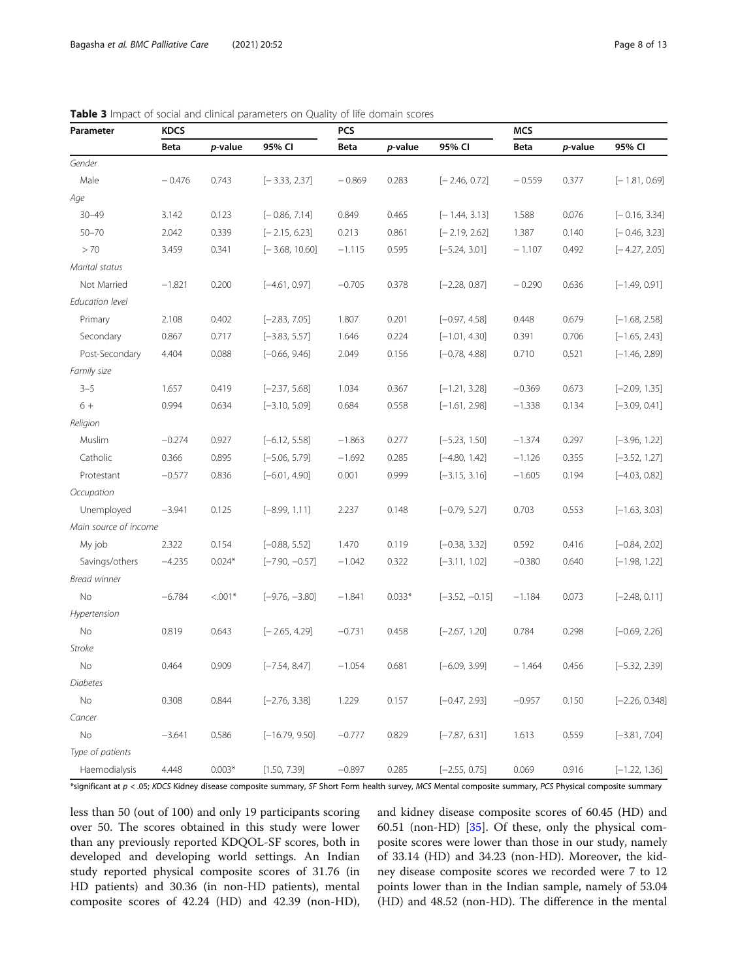| Parameter              | <b>KDCS</b> |           |                  | PCS      |          |                  | <b>MCS</b> |         |                  |
|------------------------|-------------|-----------|------------------|----------|----------|------------------|------------|---------|------------------|
|                        | Beta        | p-value   | 95% CI           | Beta     | p-value  | 95% CI           | Beta       | p-value | 95% CI           |
| Gender                 |             |           |                  |          |          |                  |            |         |                  |
| Male                   | $-0.476$    | 0.743     | $[-3.33, 2.37]$  | $-0.869$ | 0.283    | $[-2.46, 0.72]$  | $-0.559$   | 0.377   | $[-1.81, 0.69]$  |
| Age                    |             |           |                  |          |          |                  |            |         |                  |
| $30 - 49$              | 3.142       | 0.123     | $[-0.86, 7.14]$  | 0.849    | 0.465    | $[-1.44, 3.13]$  | 1.588      | 0.076   | $[-0.16, 3.34]$  |
| $50 - 70$              | 2.042       | 0.339     | $[-2.15, 6.23]$  | 0.213    | 0.861    | $[-2.19, 2.62]$  | 1.387      | 0.140   | $[-0.46, 3.23]$  |
| >70                    | 3.459       | 0.341     | $[-3.68, 10.60]$ | $-1.115$ | 0.595    | $[-5.24, 3.01]$  | $-1.107$   | 0.492   | $[-4.27, 2.05]$  |
| Marital status         |             |           |                  |          |          |                  |            |         |                  |
| Not Married            | $-1.821$    | 0.200     | $[-4.61, 0.97]$  | $-0.705$ | 0.378    | $[-2.28, 0.87]$  | $-0.290$   | 0.636   | $[-1.49, 0.91]$  |
| <b>Education level</b> |             |           |                  |          |          |                  |            |         |                  |
| Primary                | 2.108       | 0.402     | $[-2.83, 7.05]$  | 1.807    | 0.201    | $[-0.97, 4.58]$  | 0.448      | 0.679   | $[-1.68, 2.58]$  |
| Secondary              | 0.867       | 0.717     | $[-3.83, 5.57]$  | 1.646    | 0.224    | $[-1.01, 4.30]$  | 0.391      | 0.706   | $[-1.65, 2.43]$  |
| Post-Secondary         | 4.404       | 0.088     | $[-0.66, 9.46]$  | 2.049    | 0.156    | $[-0.78, 4.88]$  | 0.710      | 0.521   | $[-1.46, 2.89]$  |
| Family size            |             |           |                  |          |          |                  |            |         |                  |
| $3 - 5$                | 1.657       | 0.419     | $[-2.37, 5.68]$  | 1.034    | 0.367    | $[-1.21, 3.28]$  | $-0.369$   | 0.673   | $[-2.09, 1.35]$  |
| $6+$                   | 0.994       | 0.634     | $[-3.10, 5.09]$  | 0.684    | 0.558    | $[-1.61, 2.98]$  | $-1.338$   | 0.134   | $[-3.09, 0.41]$  |
| Religion               |             |           |                  |          |          |                  |            |         |                  |
| Muslim                 | $-0.274$    | 0.927     | $[-6.12, 5.58]$  | $-1.863$ | 0.277    | $[-5.23, 1.50]$  | $-1.374$   | 0.297   | $[-3.96, 1.22]$  |
| Catholic               | 0.366       | 0.895     | $[-5.06, 5.79]$  | $-1.692$ | 0.285    | $[-4.80, 1.42]$  | $-1.126$   | 0.355   | $[-3.52, 1.27]$  |
| Protestant             | $-0.577$    | 0.836     | $[-6.01, 4.90]$  | 0.001    | 0.999    | $[-3.15, 3.16]$  | $-1.605$   | 0.194   | $[-4.03, 0.82]$  |
| Occupation             |             |           |                  |          |          |                  |            |         |                  |
| Unemployed             | $-3.941$    | 0.125     | $[-8.99, 1.11]$  | 2.237    | 0.148    | $[-0.79, 5.27]$  | 0.703      | 0.553   | $[-1.63, 3.03]$  |
| Main source of income  |             |           |                  |          |          |                  |            |         |                  |
| My job                 | 2.322       | 0.154     | $[-0.88, 5.52]$  | 1.470    | 0.119    | $[-0.38, 3.32]$  | 0.592      | 0.416   | $[-0.84, 2.02]$  |
| Savings/others         | $-4.235$    | $0.024*$  | $[-7.90, -0.57]$ | $-1.042$ | 0.322    | $[-3.11, 1.02]$  | $-0.380$   | 0.640   | $[-1.98, 1.22]$  |
| Bread winner           |             |           |                  |          |          |                  |            |         |                  |
| No                     | $-6.784$    | $< 0.01*$ | $[-9.76, -3.80]$ | $-1.841$ | $0.033*$ | $[-3.52, -0.15]$ | $-1.184$   | 0.073   | $[-2.48, 0.11]$  |
| Hypertension           |             |           |                  |          |          |                  |            |         |                  |
| No                     | 0.819       | 0.643     | $[-2.65, 4.29]$  | $-0.731$ | 0.458    | $[-2.67, 1.20]$  | 0.784      | 0.298   | $[-0.69, 2.26]$  |
| <b>Stroke</b>          |             |           |                  |          |          |                  |            |         |                  |
| No                     | 0.464       | 0.909     | $[-7.54, 8.47]$  | $-1.054$ | 0.681    | $[-6.09, 3.99]$  | $-1.464$   | 0.456   | $[-5.32, 2.39]$  |
| Diabetes               |             |           |                  |          |          |                  |            |         |                  |
| No                     | 0.308       | 0.844     | $[-2.76, 3.38]$  | 1.229    | 0.157    | $[-0.47, 2.93]$  | $-0.957$   | 0.150   | $[-2.26, 0.348]$ |
| Cancer                 |             |           |                  |          |          |                  |            |         |                  |
| No                     | $-3.641$    | 0.586     | $[-16.79, 9.50]$ | $-0.777$ | 0.829    | $[-7.87, 6.31]$  | 1.613      | 0.559   | $[-3.81, 7.04]$  |
| Type of patients       |             |           |                  |          |          |                  |            |         |                  |
| Haemodialysis          | 4.448       | $0.003*$  | [1.50, 7.39]     | $-0.897$ | 0.285    | $[-2.55, 0.75]$  | 0.069      | 0.916   | $[-1.22, 1.36]$  |

<span id="page-7-0"></span>Table 3 Impact of social and clinical parameters on Quality of life domain scores

\*significant at  $p < 0.05$ ; KDCS Kidney disease composite summary, SF Short Form health survey, MCS Mental composite summary, PCS Physical composite summary

less than 50 (out of 100) and only 19 participants scoring over 50. The scores obtained in this study were lower than any previously reported KDQOL-SF scores, both in developed and developing world settings. An Indian study reported physical composite scores of 31.76 (in HD patients) and 30.36 (in non-HD patients), mental composite scores of 42.24 (HD) and 42.39 (non-HD), and kidney disease composite scores of 60.45 (HD) and 60.51 (non-HD) [\[35\]](#page-11-0). Of these, only the physical composite scores were lower than those in our study, namely of 33.14 (HD) and 34.23 (non-HD). Moreover, the kidney disease composite scores we recorded were 7 to 12 points lower than in the Indian sample, namely of 53.04 (HD) and 48.52 (non-HD). The difference in the mental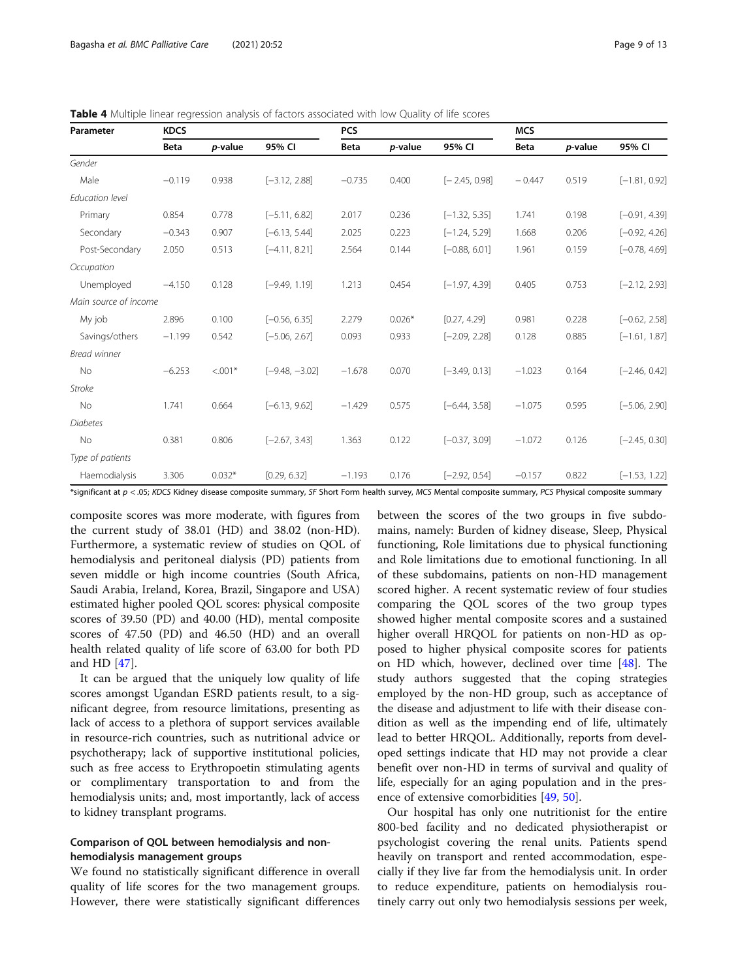<span id="page-8-0"></span>

| <b>Table 4</b> Multiple linear regression analysis of factors associated with low Quality of life scores |  |  |  |  |  |
|----------------------------------------------------------------------------------------------------------|--|--|--|--|--|
|----------------------------------------------------------------------------------------------------------|--|--|--|--|--|

| Parameter             | <b>KDCS</b> |           |                  | <b>PCS</b> |          |                 | <b>MCS</b>  |         |                 |
|-----------------------|-------------|-----------|------------------|------------|----------|-----------------|-------------|---------|-----------------|
|                       | <b>Beta</b> | p-value   | 95% CI           | Beta       | p-value  | 95% CI          | <b>Beta</b> | p-value | 95% CI          |
| Gender                |             |           |                  |            |          |                 |             |         |                 |
| Male                  | $-0.119$    | 0.938     | $[-3.12, 2.88]$  | $-0.735$   | 0.400    | $[-2.45, 0.98]$ | $-0.447$    | 0.519   | $[-1.81, 0.92]$ |
| Education level       |             |           |                  |            |          |                 |             |         |                 |
| Primary               | 0.854       | 0.778     | $[-5.11, 6.82]$  | 2.017      | 0.236    | $[-1.32, 5.35]$ | 1.741       | 0.198   | $[-0.91, 4.39]$ |
| Secondary             | $-0.343$    | 0.907     | $[-6.13, 5.44]$  | 2.025      | 0.223    | $[-1.24, 5.29]$ | 1.668       | 0.206   | $[-0.92, 4.26]$ |
| Post-Secondary        | 2.050       | 0.513     | $[-4.11, 8.21]$  | 2.564      | 0.144    | $[-0.88, 6.01]$ | 1.961       | 0.159   | $[-0.78, 4.69]$ |
| Occupation            |             |           |                  |            |          |                 |             |         |                 |
| Unemployed            | $-4.150$    | 0.128     | $[-9.49, 1.19]$  | 1.213      | 0.454    | $[-1.97, 4.39]$ | 0.405       | 0.753   | $[-2.12, 2.93]$ |
| Main source of income |             |           |                  |            |          |                 |             |         |                 |
| My job                | 2.896       | 0.100     | $[-0.56, 6.35]$  | 2.279      | $0.026*$ | [0.27, 4.29]    | 0.981       | 0.228   | $[-0.62, 2.58]$ |
| Savings/others        | $-1.199$    | 0.542     | $[-5.06, 2.67]$  | 0.093      | 0.933    | $[-2.09, 2.28]$ | 0.128       | 0.885   | $[-1.61, 1.87]$ |
| Bread winner          |             |           |                  |            |          |                 |             |         |                 |
| No                    | $-6.253$    | $< 0.01*$ | $[-9.48, -3.02]$ | $-1.678$   | 0.070    | $[-3.49, 0.13]$ | $-1.023$    | 0.164   | $[-2.46, 0.42]$ |
| Stroke                |             |           |                  |            |          |                 |             |         |                 |
| No                    | 1.741       | 0.664     | $[-6.13, 9.62]$  | $-1.429$   | 0.575    | $[-6.44, 3.58]$ | $-1.075$    | 0.595   | $[-5.06, 2.90]$ |
| <b>Diabetes</b>       |             |           |                  |            |          |                 |             |         |                 |
| No                    | 0.381       | 0.806     | $[-2.67, 3.43]$  | 1.363      | 0.122    | $[-0.37, 3.09]$ | $-1.072$    | 0.126   | $[-2.45, 0.30]$ |
| Type of patients      |             |           |                  |            |          |                 |             |         |                 |
| Haemodialysis         | 3.306       | $0.032*$  | [0.29, 6.32]     | $-1.193$   | 0.176    | $[-2.92, 0.54]$ | $-0.157$    | 0.822   | $[-1.53, 1.22]$ |

\*significant at  $p < 0.05$ ; KDCS Kidney disease composite summary, SF Short Form health survey, MCS Mental composite summary, PCS Physical composite summary

composite scores was more moderate, with figures from the current study of 38.01 (HD) and 38.02 (non-HD). Furthermore, a systematic review of studies on QOL of hemodialysis and peritoneal dialysis (PD) patients from seven middle or high income countries (South Africa, Saudi Arabia, Ireland, Korea, Brazil, Singapore and USA) estimated higher pooled QOL scores: physical composite scores of 39.50 (PD) and 40.00 (HD), mental composite scores of 47.50 (PD) and 46.50 (HD) and an overall health related quality of life score of 63.00 for both PD and HD [[47](#page-11-0)].

It can be argued that the uniquely low quality of life scores amongst Ugandan ESRD patients result, to a significant degree, from resource limitations, presenting as lack of access to a plethora of support services available in resource-rich countries, such as nutritional advice or psychotherapy; lack of supportive institutional policies, such as free access to Erythropoetin stimulating agents or complimentary transportation to and from the hemodialysis units; and, most importantly, lack of access to kidney transplant programs.

#### Comparison of QOL between hemodialysis and nonhemodialysis management groups

We found no statistically significant difference in overall quality of life scores for the two management groups. However, there were statistically significant differences

between the scores of the two groups in five subdomains, namely: Burden of kidney disease, Sleep, Physical functioning, Role limitations due to physical functioning and Role limitations due to emotional functioning. In all of these subdomains, patients on non-HD management scored higher. A recent systematic review of four studies comparing the QOL scores of the two group types showed higher mental composite scores and a sustained higher overall HRQOL for patients on non-HD as opposed to higher physical composite scores for patients on HD which, however, declined over time [\[48\]](#page-12-0). The study authors suggested that the coping strategies employed by the non-HD group, such as acceptance of the disease and adjustment to life with their disease condition as well as the impending end of life, ultimately lead to better HRQOL. Additionally, reports from developed settings indicate that HD may not provide a clear benefit over non-HD in terms of survival and quality of life, especially for an aging population and in the pres-ence of extensive comorbidities [\[49](#page-12-0), [50](#page-12-0)].

Our hospital has only one nutritionist for the entire 800-bed facility and no dedicated physiotherapist or psychologist covering the renal units. Patients spend heavily on transport and rented accommodation, especially if they live far from the hemodialysis unit. In order to reduce expenditure, patients on hemodialysis routinely carry out only two hemodialysis sessions per week,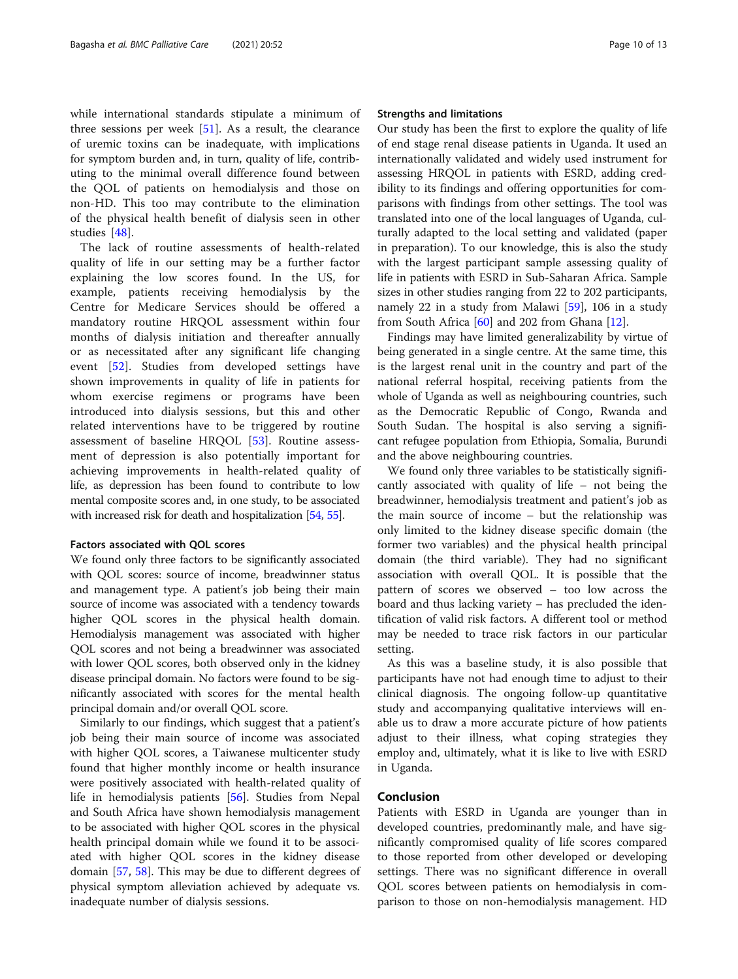while international standards stipulate a minimum of three sessions per week  $[51]$  $[51]$ . As a result, the clearance of uremic toxins can be inadequate, with implications for symptom burden and, in turn, quality of life, contributing to the minimal overall difference found between the QOL of patients on hemodialysis and those on non-HD. This too may contribute to the elimination of the physical health benefit of dialysis seen in other studies [[48\]](#page-12-0).

The lack of routine assessments of health-related quality of life in our setting may be a further factor explaining the low scores found. In the US, for example, patients receiving hemodialysis by the Centre for Medicare Services should be offered a mandatory routine HRQOL assessment within four months of dialysis initiation and thereafter annually or as necessitated after any significant life changing event [[52\]](#page-12-0). Studies from developed settings have shown improvements in quality of life in patients for whom exercise regimens or programs have been introduced into dialysis sessions, but this and other related interventions have to be triggered by routine assessment of baseline HRQOL [[53\]](#page-12-0). Routine assessment of depression is also potentially important for achieving improvements in health-related quality of life, as depression has been found to contribute to low mental composite scores and, in one study, to be associated with increased risk for death and hospitalization [\[54](#page-12-0), [55](#page-12-0)].

#### Factors associated with QOL scores

We found only three factors to be significantly associated with QOL scores: source of income, breadwinner status and management type. A patient's job being their main source of income was associated with a tendency towards higher QOL scores in the physical health domain. Hemodialysis management was associated with higher QOL scores and not being a breadwinner was associated with lower QOL scores, both observed only in the kidney disease principal domain. No factors were found to be significantly associated with scores for the mental health principal domain and/or overall QOL score.

Similarly to our findings, which suggest that a patient's job being their main source of income was associated with higher QOL scores, a Taiwanese multicenter study found that higher monthly income or health insurance were positively associated with health-related quality of life in hemodialysis patients [[56\]](#page-12-0). Studies from Nepal and South Africa have shown hemodialysis management to be associated with higher QOL scores in the physical health principal domain while we found it to be associated with higher QOL scores in the kidney disease domain [[57,](#page-12-0) [58\]](#page-12-0). This may be due to different degrees of physical symptom alleviation achieved by adequate vs. inadequate number of dialysis sessions.

#### Strengths and limitations

Our study has been the first to explore the quality of life of end stage renal disease patients in Uganda. It used an internationally validated and widely used instrument for assessing HRQOL in patients with ESRD, adding credibility to its findings and offering opportunities for comparisons with findings from other settings. The tool was translated into one of the local languages of Uganda, culturally adapted to the local setting and validated (paper in preparation). To our knowledge, this is also the study with the largest participant sample assessing quality of life in patients with ESRD in Sub-Saharan Africa. Sample sizes in other studies ranging from 22 to 202 participants, namely 22 in a study from Malawi [[59](#page-12-0)], 106 in a study from South Africa  $[60]$  $[60]$  and 202 from Ghana  $[12]$  $[12]$  $[12]$ .

Findings may have limited generalizability by virtue of being generated in a single centre. At the same time, this is the largest renal unit in the country and part of the national referral hospital, receiving patients from the whole of Uganda as well as neighbouring countries, such as the Democratic Republic of Congo, Rwanda and South Sudan. The hospital is also serving a significant refugee population from Ethiopia, Somalia, Burundi and the above neighbouring countries.

We found only three variables to be statistically significantly associated with quality of life – not being the breadwinner, hemodialysis treatment and patient's job as the main source of income – but the relationship was only limited to the kidney disease specific domain (the former two variables) and the physical health principal domain (the third variable). They had no significant association with overall QOL. It is possible that the pattern of scores we observed – too low across the board and thus lacking variety – has precluded the identification of valid risk factors. A different tool or method may be needed to trace risk factors in our particular setting.

As this was a baseline study, it is also possible that participants have not had enough time to adjust to their clinical diagnosis. The ongoing follow-up quantitative study and accompanying qualitative interviews will enable us to draw a more accurate picture of how patients adjust to their illness, what coping strategies they employ and, ultimately, what it is like to live with ESRD in Uganda.

#### Conclusion

Patients with ESRD in Uganda are younger than in developed countries, predominantly male, and have significantly compromised quality of life scores compared to those reported from other developed or developing settings. There was no significant difference in overall QOL scores between patients on hemodialysis in comparison to those on non-hemodialysis management. HD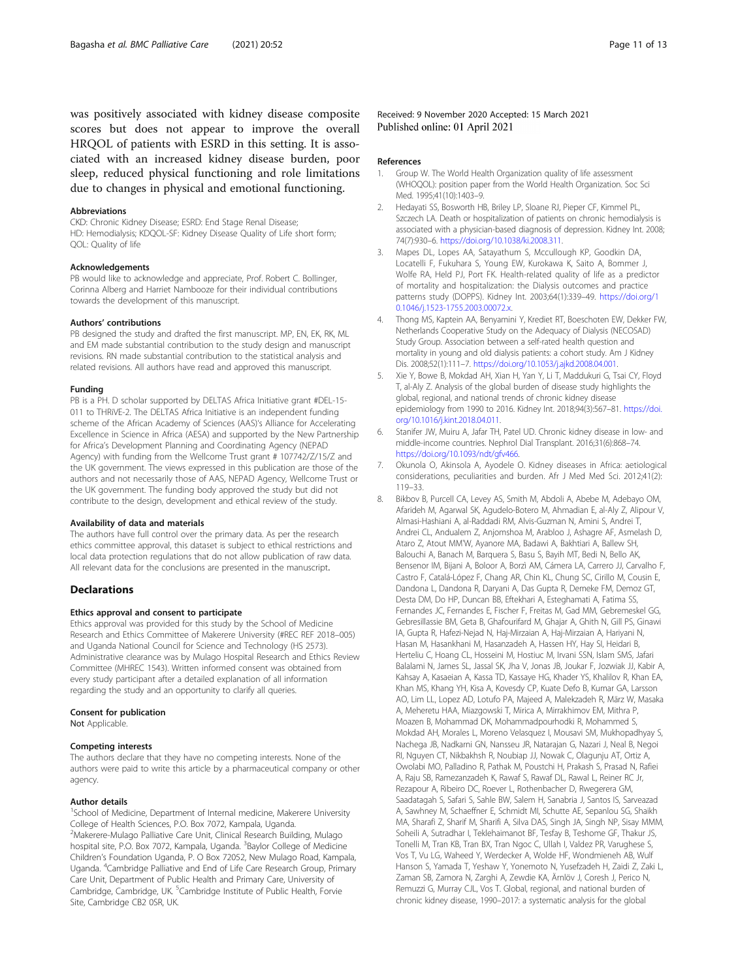<span id="page-10-0"></span>was positively associated with kidney disease composite scores but does not appear to improve the overall HRQOL of patients with ESRD in this setting. It is associated with an increased kidney disease burden, poor sleep, reduced physical functioning and role limitations due to changes in physical and emotional functioning.

#### Abbreviations

CKD: Chronic Kidney Disease; ESRD: End Stage Renal Disease; HD: Hemodialysis; KDQOL-SF: Kidney Disease Quality of Life short form; QOL: Quality of life

#### Acknowledgements

PB would like to acknowledge and appreciate, Prof. Robert C. Bollinger, Corinna Alberg and Harriet Nambooze for their individual contributions towards the development of this manuscript.

#### Authors' contributions

PB designed the study and drafted the first manuscript. MP, EN, EK, RK, ML and EM made substantial contribution to the study design and manuscript revisions. RN made substantial contribution to the statistical analysis and related revisions. All authors have read and approved this manuscript.

#### Funding

PB is a PH. D scholar supported by DELTAS Africa Initiative grant #DEL-15- 011 to THRiVE-2. The DELTAS Africa Initiative is an independent funding scheme of the African Academy of Sciences (AAS)'s Alliance for Accelerating Excellence in Science in Africa (AESA) and supported by the New Partnership for Africa's Development Planning and Coordinating Agency (NEPAD Agency) with funding from the Wellcome Trust grant # 107742/Z/15/Z and the UK government. The views expressed in this publication are those of the authors and not necessarily those of AAS, NEPAD Agency, Wellcome Trust or the UK government. The funding body approved the study but did not contribute to the design, development and ethical review of the study.

#### Availability of data and materials

The authors have full control over the primary data. As per the research ethics committee approval, this dataset is subject to ethical restrictions and local data protection regulations that do not allow publication of raw data. All relevant data for the conclusions are presented in the manuscript.

#### **Declarations**

#### Ethics approval and consent to participate

Ethics approval was provided for this study by the School of Medicine Research and Ethics Committee of Makerere University (#REC REF 2018–005) and Uganda National Council for Science and Technology (HS 2573). Administrative clearance was by Mulago Hospital Research and Ethics Review Committee (MHREC 1543). Written informed consent was obtained from every study participant after a detailed explanation of all information regarding the study and an opportunity to clarify all queries.

#### Consent for publication

Not Applicable.

#### Competing interests

The authors declare that they have no competing interests. None of the authors were paid to write this article by a pharmaceutical company or other agency.

#### Author details

<sup>1</sup>School of Medicine, Department of Internal medicine, Makerere University College of Health Sciences, P.O. Box 7072, Kampala, Uganda. <sup>2</sup>Makerere-Mulago Palliative Care Unit, Clinical Research Building, Mulago hospital site, P.O. Box 7072, Kampala, Uganda. <sup>3</sup>Baylor College of Medicine Children's Foundation Uganda, P. O Box 72052, New Mulago Road, Kampala, Uganda. <sup>4</sup>Cambridge Palliative and End of Life Care Research Group, Primary Care Unit, Department of Public Health and Primary Care, University of Cambridge, Cambridge, UK. <sup>5</sup>Cambridge Institute of Public Health, Forvie Site, Cambridge CB2 0SR, UK.

Received: 9 November 2020 Accepted: 15 March 2021 Published online: 01 April 2021

#### References

- 1. Group W. The World Health Organization quality of life assessment (WHOQOL): position paper from the World Health Organization. Soc Sci Med. 1995;41(10):1403–9.
- 2. Hedayati SS, Bosworth HB, Briley LP, Sloane RJ, Pieper CF, Kimmel PL, Szczech LA. Death or hospitalization of patients on chronic hemodialysis is associated with a physician-based diagnosis of depression. Kidney Int. 2008; 74(7):930–6. <https://doi.org/10.1038/ki.2008.311>.
- 3. Mapes DL, Lopes AA, Satayathum S, Mccullough KP, Goodkin DA, Locatelli F, Fukuhara S, Young EW, Kurokawa K, Saito A, Bommer J, Wolfe RA, Held PJ, Port FK. Health-related quality of life as a predictor of mortality and hospitalization: the Dialysis outcomes and practice patterns study (DOPPS). Kidney Int. 2003;64(1):339–49. [https://doi.org/1](https://doi.org/10.1046/j.1523-1755.2003.00072.x) [0.1046/j.1523-1755.2003.00072.x.](https://doi.org/10.1046/j.1523-1755.2003.00072.x)
- 4. Thong MS, Kaptein AA, Benyamini Y, Krediet RT, Boeschoten EW, Dekker FW, Netherlands Cooperative Study on the Adequacy of Dialysis (NECOSAD) Study Group. Association between a self-rated health question and mortality in young and old dialysis patients: a cohort study. Am J Kidney Dis. 2008;52(1):111–7. [https://doi.org/10.1053/j.ajkd.2008.04.001.](https://doi.org/10.1053/j.ajkd.2008.04.001)
- Xie Y, Bowe B, Mokdad AH, Xian H, Yan Y, Li T, Maddukuri G, Tsai CY, Floyd T, al-Aly Z. Analysis of the global burden of disease study highlights the global, regional, and national trends of chronic kidney disease epidemiology from 1990 to 2016. Kidney Int. 2018;94(3):567–81. [https://doi.](https://doi.org/10.1016/j.kint.2018.04.011) [org/10.1016/j.kint.2018.04.011](https://doi.org/10.1016/j.kint.2018.04.011).
- 6. Stanifer JW, Muiru A, Jafar TH, Patel UD. Chronic kidney disease in low- and middle-income countries. Nephrol Dial Transplant. 2016;31(6):868–74. <https://doi.org/10.1093/ndt/gfv466>.
- 7. Okunola O, Akinsola A, Ayodele O. Kidney diseases in Africa: aetiological considerations, peculiarities and burden. Afr J Med Med Sci. 2012;41(2): 119–33.
- 8. Bikbov B, Purcell CA, Levey AS, Smith M, Abdoli A, Abebe M, Adebayo OM, Afarideh M, Agarwal SK, Agudelo-Botero M, Ahmadian E, al-Aly Z, Alipour V, Almasi-Hashiani A, al-Raddadi RM, Alvis-Guzman N, Amini S, Andrei T, Andrei CL, Andualem Z, Anjomshoa M, Arabloo J, Ashagre AF, Asmelash D, Ataro Z, Atout MM'W, Ayanore MA, Badawi A, Bakhtiari A, Ballew SH, Balouchi A, Banach M, Barquera S, Basu S, Bayih MT, Bedi N, Bello AK, Bensenor IM, Bijani A, Boloor A, Borzì AM, Cámera LA, Carrero JJ, Carvalho F, Castro F, Catalá-López F, Chang AR, Chin KL, Chung SC, Cirillo M, Cousin E, Dandona L, Dandona R, Daryani A, Das Gupta R, Demeke FM, Demoz GT, Desta DM, Do HP, Duncan BB, Eftekhari A, Esteghamati A, Fatima SS, Fernandes JC, Fernandes E, Fischer F, Freitas M, Gad MM, Gebremeskel GG, Gebresillassie BM, Geta B, Ghafourifard M, Ghajar A, Ghith N, Gill PS, Ginawi IA, Gupta R, Hafezi-Nejad N, Haj-Mirzaian A, Haj-Mirzaian A, Hariyani N, Hasan M, Hasankhani M, Hasanzadeh A, Hassen HY, Hay SI, Heidari B, Herteliu C, Hoang CL, Hosseini M, Hostiuc M, Irvani SSN, Islam SMS, Jafari Balalami N, James SL, Jassal SK, Jha V, Jonas JB, Joukar F, Jozwiak JJ, Kabir A, Kahsay A, Kasaeian A, Kassa TD, Kassaye HG, Khader YS, Khalilov R, Khan EA, Khan MS, Khang YH, Kisa A, Kovesdy CP, Kuate Defo B, Kumar GA, Larsson AO, Lim LL, Lopez AD, Lotufo PA, Majeed A, Malekzadeh R, März W, Masaka A, Meheretu HAA, Miazgowski T, Mirica A, Mirrakhimov EM, Mithra P, Moazen B, Mohammad DK, Mohammadpourhodki R, Mohammed S, Mokdad AH, Morales L, Moreno Velasquez I, Mousavi SM, Mukhopadhyay S, Nachega JB, Nadkarni GN, Nansseu JR, Natarajan G, Nazari J, Neal B, Negoi RI, Nguyen CT, Nikbakhsh R, Noubiap JJ, Nowak C, Olagunju AT, Ortiz A, Owolabi MO, Palladino R, Pathak M, Poustchi H, Prakash S, Prasad N, Rafiei A, Raju SB, Ramezanzadeh K, Rawaf S, Rawaf DL, Rawal L, Reiner RC Jr, Rezapour A, Ribeiro DC, Roever L, Rothenbacher D, Rwegerera GM, Saadatagah S, Safari S, Sahle BW, Salem H, Sanabria J, Santos IS, Sarveazad A, Sawhney M, Schaeffner E, Schmidt MI, Schutte AE, Sepanlou SG, Shaikh MA, Sharafi Z, Sharif M, Sharifi A, Silva DAS, Singh JA, Singh NP, Sisay MMM, Soheili A, Sutradhar I, Teklehaimanot BF, Tesfay B, Teshome GF, Thakur JS, Tonelli M, Tran KB, Tran BX, Tran Ngoc C, Ullah I, Valdez PR, Varughese S, Vos T, Vu LG, Waheed Y, Werdecker A, Wolde HF, Wondmieneh AB, Wulf Hanson S, Yamada T, Yeshaw Y, Yonemoto N, Yusefzadeh H, Zaidi Z, Zaki L, Zaman SB, Zamora N, Zarghi A, Zewdie KA, Ärnlöv J, Coresh J, Perico N, Remuzzi G, Murray CJL, Vos T. Global, regional, and national burden of chronic kidney disease, 1990–2017: a systematic analysis for the global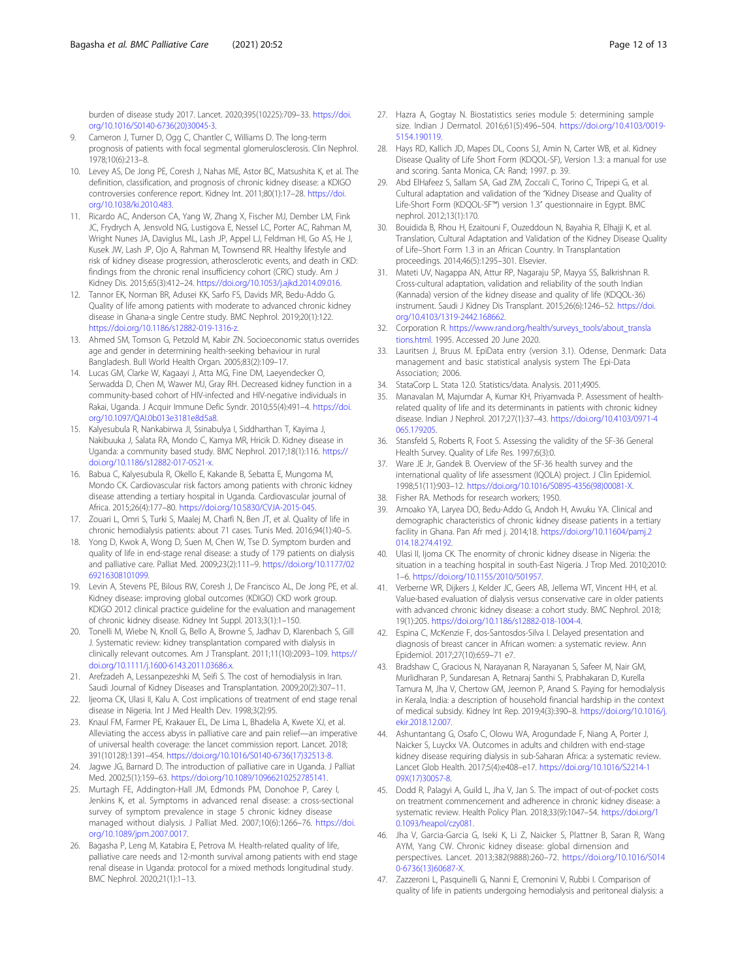<span id="page-11-0"></span>burden of disease study 2017. Lancet. 2020;395(10225):709–33. [https://doi.](https://doi.org/10.1016/S0140-6736(20)30045-3) [org/10.1016/S0140-6736\(20\)30045-3.](https://doi.org/10.1016/S0140-6736(20)30045-3)

- 9. Cameron J, Turner D, Ogg C, Chantler C, Williams D. The long-term prognosis of patients with focal segmental glomerulosclerosis. Clin Nephrol. 1978;10(6):213–8.
- 10. Levey AS, De Jong PE, Coresh J, Nahas ME, Astor BC, Matsushita K, et al. The definition, classification, and prognosis of chronic kidney disease: a KDIGO controversies conference report. Kidney Int. 2011;80(1):17–28. [https://doi.](https://doi.org/10.1038/ki.2010.483) [org/10.1038/ki.2010.483.](https://doi.org/10.1038/ki.2010.483)
- 11. Ricardo AC, Anderson CA, Yang W, Zhang X, Fischer MJ, Dember LM, Fink JC, Frydrych A, Jensvold NG, Lustigova E, Nessel LC, Porter AC, Rahman M, Wright Nunes JA, Daviglus ML, Lash JP, Appel LJ, Feldman HI, Go AS, He J, Kusek JW, Lash JP, Ojo A, Rahman M, Townsend RR. Healthy lifestyle and risk of kidney disease progression, atherosclerotic events, and death in CKD: findings from the chronic renal insufficiency cohort (CRIC) study. Am J Kidney Dis. 2015;65(3):412–24. [https://doi.org/10.1053/j.ajkd.2014.09.016.](https://doi.org/10.1053/j.ajkd.2014.09.016)
- 12. Tannor EK, Norman BR, Adusei KK, Sarfo FS, Davids MR, Bedu-Addo G. Quality of life among patients with moderate to advanced chronic kidney disease in Ghana-a single Centre study. BMC Nephrol. 2019;20(1):122. [https://doi.org/10.1186/s12882-019-1316-z.](https://doi.org/10.1186/s12882-019-1316-z)
- 13. Ahmed SM, Tomson G, Petzold M, Kabir ZN. Socioeconomic status overrides age and gender in determining health-seeking behaviour in rural Bangladesh. Bull World Health Organ. 2005;83(2):109–17.
- 14. Lucas GM, Clarke W, Kagaayi J, Atta MG, Fine DM, Laeyendecker O, Serwadda D, Chen M, Wawer MJ, Gray RH. Decreased kidney function in a community-based cohort of HIV-infected and HIV-negative individuals in Rakai, Uganda. J Acquir Immune Defic Syndr. 2010;55(4):491–4. [https://doi.](https://doi.org/10.1097/QAI.0b013e3181e8d5a8) [org/10.1097/QAI.0b013e3181e8d5a8.](https://doi.org/10.1097/QAI.0b013e3181e8d5a8)
- 15. Kalyesubula R, Nankabirwa JI, Ssinabulya I, Siddharthan T, Kayima J, Nakibuuka J, Salata RA, Mondo C, Kamya MR, Hricik D. Kidney disease in Uganda: a community based study. BMC Nephrol. 2017;18(1):116. [https://](https://doi.org/10.1186/s12882-017-0521-x) [doi.org/10.1186/s12882-017-0521-x](https://doi.org/10.1186/s12882-017-0521-x).
- 16. Babua C, Kalyesubula R, Okello E, Kakande B, Sebatta E, Mungoma M, Mondo CK. Cardiovascular risk factors among patients with chronic kidney disease attending a tertiary hospital in Uganda. Cardiovascular journal of Africa. 2015;26(4):177–80. <https://doi.org/10.5830/CVJA-2015-045>.
- 17. Zouari L, Omri S, Turki S, Maalej M, Charfi N, Ben JT, et al. Quality of life in chronic hemodialysis patients: about 71 cases. Tunis Med. 2016;94(1):40–5.
- 18. Yong D, Kwok A, Wong D, Suen M, Chen W, Tse D. Symptom burden and quality of life in end-stage renal disease: a study of 179 patients on dialysis and palliative care. Palliat Med. 2009;23(2):111–9. [https://doi.org/10.1177/02](https://doi.org/10.1177/0269216308101099) [69216308101099](https://doi.org/10.1177/0269216308101099).
- 19. Levin A, Stevens PE, Bilous RW, Coresh J, De Francisco AL, De Jong PE, et al. Kidney disease: improving global outcomes (KDIGO) CKD work group. KDIGO 2012 clinical practice guideline for the evaluation and management of chronic kidney disease. Kidney Int Suppl. 2013;3(1):1–150.
- 20. Tonelli M, Wiebe N, Knoll G, Bello A, Browne S, Jadhav D, Klarenbach S, Gill J. Systematic review: kidney transplantation compared with dialysis in clinically relevant outcomes. Am J Transplant. 2011;11(10):2093–109. [https://](https://doi.org/10.1111/j.1600-6143.2011.03686.x) [doi.org/10.1111/j.1600-6143.2011.03686.x.](https://doi.org/10.1111/j.1600-6143.2011.03686.x)
- 21. Arefzadeh A, Lessanpezeshki M, Seifi S. The cost of hemodialysis in Iran. Saudi Journal of Kidney Diseases and Transplantation. 2009;20(2):307–11.
- 22. Ijeoma CK, Ulasi II, Kalu A. Cost implications of treatment of end stage renal disease in Nigeria. Int J Med Health Dev. 1998;3(2):95.
- 23. Knaul FM, Farmer PE, Krakauer EL, De Lima L, Bhadelia A, Kwete XJ, et al. Alleviating the access abyss in palliative care and pain relief—an imperative of universal health coverage: the lancet commission report. Lancet. 2018; 391(10128):1391–454. [https://doi.org/10.1016/S0140-6736\(17\)32513-8.](https://doi.org/10.1016/S0140-6736(17)32513-8)
- 24. Jagwe JG, Barnard D. The introduction of palliative care in Uganda. J Palliat Med. 2002;5(1):159–63. [https://doi.org/10.1089/10966210252785141.](https://doi.org/10.1089/10966210252785141)
- 25. Murtagh FE, Addington-Hall JM, Edmonds PM, Donohoe P, Carey I, Jenkins K, et al. Symptoms in advanced renal disease: a cross-sectional survey of symptom prevalence in stage 5 chronic kidney disease managed without dialysis. J Palliat Med. 2007;10(6):1266–76. [https://doi.](https://doi.org/10.1089/jpm.2007.0017) [org/10.1089/jpm.2007.0017](https://doi.org/10.1089/jpm.2007.0017).
- 26. Bagasha P, Leng M, Katabira E, Petrova M. Health-related quality of life, palliative care needs and 12-month survival among patients with end stage renal disease in Uganda: protocol for a mixed methods longitudinal study. BMC Nephrol. 2020;21(1):1–13.
- 27. Hazra A, Gogtay N. Biostatistics series module 5: determining sample size. Indian J Dermatol. 2016;61(5):496–504. [https://doi.org/10.4103/0019-](https://doi.org/10.4103/0019-5154.190119) [5154.190119](https://doi.org/10.4103/0019-5154.190119).
- 28. Hays RD, Kallich JD, Mapes DL, Coons SJ, Amin N, Carter WB, et al. Kidney Disease Quality of Life Short Form (KDQOL-SF), Version 1.3: a manual for use and scoring. Santa Monica, CA: Rand; 1997. p. 39.
- Abd ElHafeez S, Sallam SA, Gad ZM, Zoccali C, Torino C, Tripepi G, et al. Cultural adaptation and validation of the "Kidney Disease and Quality of Life-Short Form (KDQOL-SF™) version 1.3" questionnaire in Egypt. BMC nephrol. 2012;13(1):170.
- 30. Bouidida B, Rhou H, Ezaitouni F, Ouzeddoun N, Bayahia R, Elhajji K, et al. Translation, Cultural Adaptation and Validation of the Kidney Disease Quality of Life–Short Form 1.3 in an African Country. In Transplantation proceedings. 2014;46(5):1295–301. Elsevier.
- 31. Mateti UV, Nagappa AN, Attur RP, Nagaraju SP, Mayya SS, Balkrishnan R. Cross-cultural adaptation, validation and reliability of the south Indian (Kannada) version of the kidney disease and quality of life (KDQOL-36) instrument. Saudi J Kidney Dis Transplant. 2015;26(6):1246–52. [https://doi.](https://doi.org/10.4103/1319-2442.168662) [org/10.4103/1319-2442.168662](https://doi.org/10.4103/1319-2442.168662).
- 32. Corporation R. [https://www.rand.org/health/surveys\\_tools/about\\_transla](https://www.rand.org/health/surveys_tools/about_translations.html) [tions.html.](https://www.rand.org/health/surveys_tools/about_translations.html) 1995. Accessed 20 June 2020.
- 33. Lauritsen J, Bruus M. EpiData entry (version 3.1). Odense, Denmark: Data management and basic statistical analysis system The Epi-Data Association; 2006.
- 34. StataCorp L. Stata 12.0. Statistics/data. Analysis. 2011;4905.
- 35. Manavalan M, Majumdar A, Kumar KH, Priyamvada P. Assessment of healthrelated quality of life and its determinants in patients with chronic kidney disease. Indian J Nephrol. 2017;27(1):37–43. [https://doi.org/10.4103/0971-4](https://doi.org/10.4103/0971-4065.179205) [065.179205.](https://doi.org/10.4103/0971-4065.179205)
- 36. Stansfeld S, Roberts R, Foot S. Assessing the validity of the SF-36 General Health Survey. Quality of Life Res. 1997;6(3):0.
- 37. Ware JE Jr, Gandek B. Overview of the SF-36 health survey and the international quality of life assessment (IQOLA) project. J Clin Epidemiol. 1998;51(11):903–12. [https://doi.org/10.1016/S0895-4356\(98\)00081-X](https://doi.org/10.1016/S0895-4356(98)00081-X).
- 38. Fisher RA. Methods for research workers; 1950.
- 39. Amoako YA, Laryea DO, Bedu-Addo G, Andoh H, Awuku YA. Clinical and demographic characteristics of chronic kidney disease patients in a tertiary facility in Ghana. Pan Afr med j. 2014;18. [https://doi.org/10.11604/pamj.2](https://doi.org/10.11604/pamj.2014.18.274.4192) [014.18.274.4192](https://doi.org/10.11604/pamj.2014.18.274.4192).
- 40. Ulasi II, Ijoma CK. The enormity of chronic kidney disease in Nigeria: the situation in a teaching hospital in south-East Nigeria. J Trop Med. 2010;2010: 1–6. <https://doi.org/10.1155/2010/501957>.
- 41. Verberne WR, Dijkers J, Kelder JC, Geers AB, Jellema WT, Vincent HH, et al. Value-based evaluation of dialysis versus conservative care in older patients with advanced chronic kidney disease: a cohort study. BMC Nephrol. 2018; 19(1):205. [https://doi.org/10.1186/s12882-018-1004-4.](https://doi.org/10.1186/s12882-018-1004-4)
- 42. Espina C, McKenzie F, dos-Santosdos-Silva I. Delayed presentation and diagnosis of breast cancer in African women: a systematic review. Ann Epidemiol. 2017;27(10):659–71 e7.
- 43. Bradshaw C, Gracious N, Narayanan R, Narayanan S, Safeer M, Nair GM, Murlidharan P, Sundaresan A, Retnaraj Santhi S, Prabhakaran D, Kurella Tamura M, Jha V, Chertow GM, Jeemon P, Anand S. Paying for hemodialysis in Kerala, India: a description of household financial hardship in the context of medical subsidy. Kidney Int Rep. 2019;4(3):390–8. [https://doi.org/10.1016/j.](https://doi.org/10.1016/j.ekir.2018.12.007) [ekir.2018.12.007.](https://doi.org/10.1016/j.ekir.2018.12.007)
- 44. Ashuntantang G, Osafo C, Olowu WA, Arogundade F, Niang A, Porter J, Naicker S, Luyckx VA. Outcomes in adults and children with end-stage kidney disease requiring dialysis in sub-Saharan Africa: a systematic review. Lancet Glob Health. 2017;5(4):e408–e17. [https://doi.org/10.1016/S2214-1](https://doi.org/10.1016/S2214-109X(17)30057-8) [09X\(17\)30057-8.](https://doi.org/10.1016/S2214-109X(17)30057-8)
- 45. Dodd R, Palagyi A, Guild L, Jha V, Jan S. The impact of out-of-pocket costs on treatment commencement and adherence in chronic kidney disease: a systematic review. Health Policy Plan. 2018;33(9):1047–54. [https://doi.org/1](https://doi.org/10.1093/heapol/czy081) [0.1093/heapol/czy081.](https://doi.org/10.1093/heapol/czy081)
- 46. Jha V, Garcia-Garcia G, Iseki K, Li Z, Naicker S, Plattner B, Saran R, Wang AYM, Yang CW. Chronic kidney disease: global dimension and perspectives. Lancet. 2013;382(9888):260–72. [https://doi.org/10.1016/S014](https://doi.org/10.1016/S0140-6736(13)60687-X) [0-6736\(13\)60687-X.](https://doi.org/10.1016/S0140-6736(13)60687-X)
- 47. Zazzeroni L, Pasquinelli G, Nanni E, Cremonini V, Rubbi I. Comparison of quality of life in patients undergoing hemodialysis and peritoneal dialysis: a